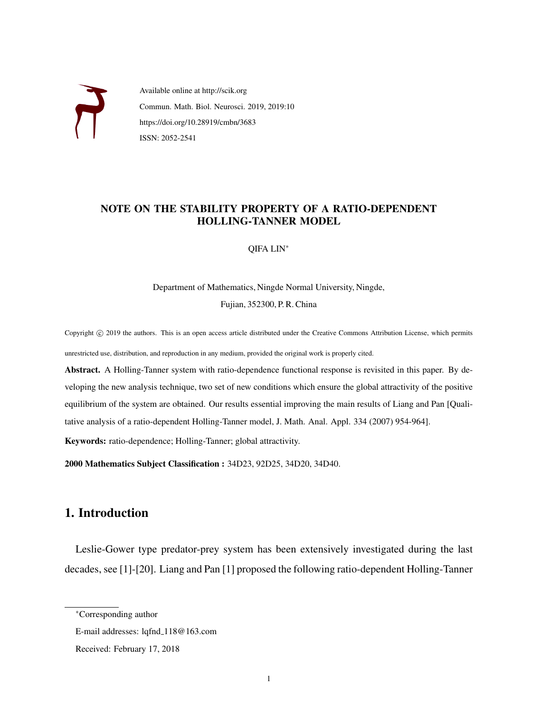

Available online at http://scik.org Commun. Math. Biol. Neurosci. 2019, 2019:10 https://doi.org/10.28919/cmbn/3683 ISSN: 2052-2541

## NOTE ON THE STABILITY PROPERTY OF A RATIO-DEPENDENT HOLLING-TANNER MODEL

QIFA LIN<sup>∗</sup>

Department of Mathematics, Ningde Normal University, Ningde, Fujian, 352300, P. R. China

Copyright © 2019 the authors. This is an open access article distributed under the Creative Commons Attribution License, which permits unrestricted use, distribution, and reproduction in any medium, provided the original work is properly cited.

Abstract. A Holling-Tanner system with ratio-dependence functional response is revisited in this paper. By developing the new analysis technique, two set of new conditions which ensure the global attractivity of the positive equilibrium of the system are obtained. Our results essential improving the main results of Liang and Pan [Qualitative analysis of a ratio-dependent Holling-Tanner model, J. Math. Anal. Appl. 334 (2007) 954-964].

Keywords: ratio-dependence; Holling-Tanner; global attractivity.

2000 Mathematics Subject Classification : 34D23, 92D25, 34D20, 34D40.

# 1. Introduction

Leslie-Gower type predator-prey system has been extensively investigated during the last decades, see [1]-[20]. Liang and Pan [1] proposed the following ratio-dependent Holling-Tanner

<sup>∗</sup>Corresponding author

E-mail addresses: lqfnd\_118@163.com

Received: February 17, 2018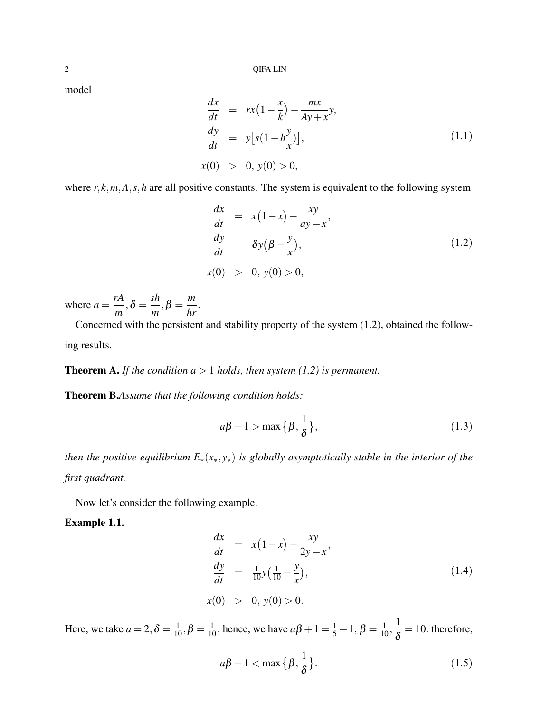model

$$
\frac{dx}{dt} = rx(1 - \frac{x}{k}) - \frac{mx}{Ay + x}y,\n\frac{dy}{dt} = y[s(1 - h\frac{y}{x})],\nx(0) > 0, y(0) > 0,
$$
\n(1.1)

where  $r, k, m, A, s, h$  are all positive constants. The system is equivalent to the following system

$$
\frac{dx}{dt} = x(1-x) - \frac{xy}{ay+x},
$$
\n
$$
\frac{dy}{dt} = \delta y(\beta - \frac{y}{x}),
$$
\n
$$
x(0) > 0, y(0) > 0,
$$
\n(1.2)

where  $a =$ *rA*  $\frac{1}{m}, \delta =$ *sh*  $\frac{3\pi}{m}, \beta =$ *m hr* .

Concerned with the persistent and stability property of the system (1.2), obtained the following results.

**Theorem A.** *If the condition*  $a > 1$  *holds, then system (1.2) is permanent.* 

Theorem B.*Assume that the following condition holds:*

$$
a\beta + 1 > \max\left\{\beta, \frac{1}{\delta}\right\},\tag{1.3}
$$

*then the positive equilibrium E*∗(*x*∗, *y*∗) *is globally asymptotically stable in the interior of the first quadrant.*

Now let's consider the following example.

### Example 1.1.

$$
\frac{dx}{dt} = x(1-x) - \frac{xy}{2y+x}, \n\frac{dy}{dt} = \frac{1}{10}y(\frac{1}{10} - \frac{y}{x}), \nx(0) > 0, y(0) > 0.
$$
\n(1.4)

Here, we take  $a = 2, \delta = \frac{1}{10}, \beta = \frac{1}{10}$ , hence, we have  $a\beta + 1 = \frac{1}{5} + 1, \beta = \frac{1}{10}, \frac{1}{8}$ δ  $= 10$ . therefore,

$$
a\beta + 1 < \max\left\{\beta, \frac{1}{\delta}\right\}.\tag{1.5}
$$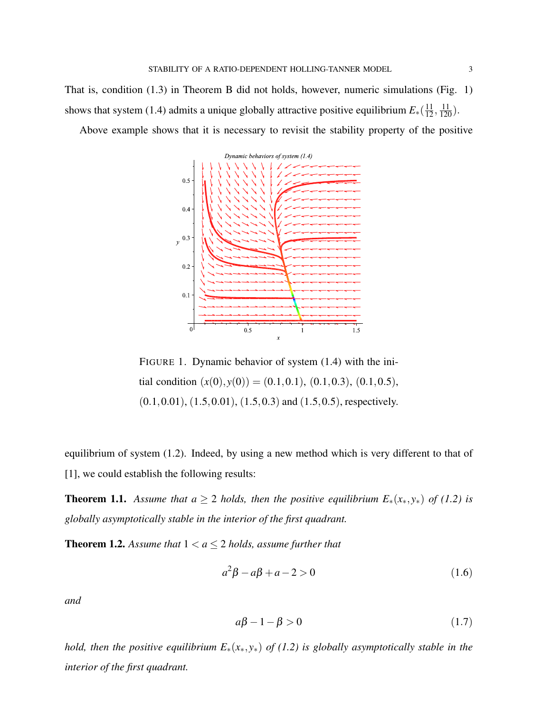That is, condition (1.3) in Theorem B did not holds, however, numeric simulations (Fig. 1) shows that system (1.4) admits a unique globally attractive positive equilibrium  $E_*(\frac{11}{12}, \frac{11}{120})$ .

Above example shows that it is necessary to revisit the stability property of the positive



FIGURE 1. Dynamic behavior of system (1.4) with the initial condition  $(x(0), y(0)) = (0.1, 0.1), (0.1, 0.3), (0.1, 0.5),$  $(0.1, 0.01), (1.5, 0.01), (1.5, 0.3)$  and  $(1.5, 0.5)$ , respectively.

equilibrium of system (1.2). Indeed, by using a new method which is very different to that of [1], we could establish the following results:

**Theorem 1.1.** Assume that  $a \geq 2$  holds, then the positive equilibrium  $E_*(x_*,y_*)$  of (1.2) is *globally asymptotically stable in the interior of the first quadrant.*

**Theorem 1.2.** Assume that  $1 < a \leq 2$  holds, assume further that

$$
a^2\beta - a\beta + a - 2 > 0\tag{1.6}
$$

*and*

$$
a\beta - 1 - \beta > 0\tag{1.7}
$$

*hold, then the positive equilibrium E*∗(*x*∗, *y*∗) *of (1.2) is globally asymptotically stable in the interior of the first quadrant.*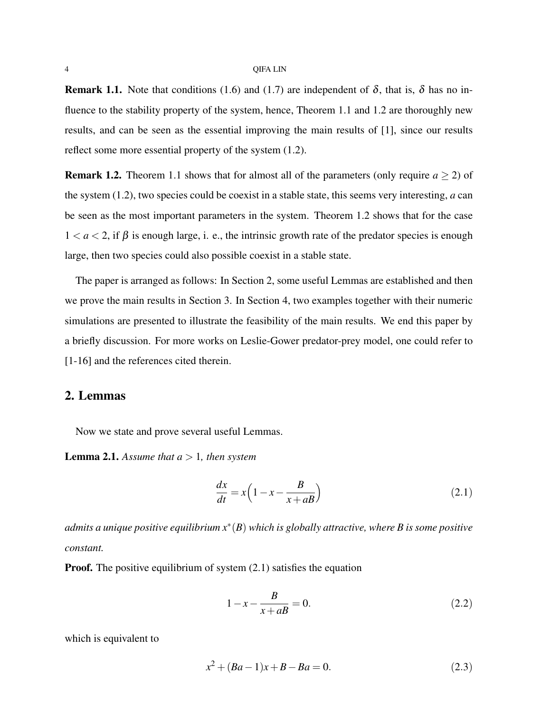**Remark 1.1.** Note that conditions (1.6) and (1.7) are independent of  $\delta$ , that is,  $\delta$  has no influence to the stability property of the system, hence, Theorem 1.1 and 1.2 are thoroughly new results, and can be seen as the essential improving the main results of [1], since our results reflect some more essential property of the system (1.2).

**Remark 1.2.** Theorem 1.1 shows that for almost all of the parameters (only require  $a \ge 2$ ) of the system (1.2), two species could be coexist in a stable state, this seems very interesting, *a* can be seen as the most important parameters in the system. Theorem 1.2 shows that for the case  $1 < a < 2$ , if  $\beta$  is enough large, i. e., the intrinsic growth rate of the predator species is enough large, then two species could also possible coexist in a stable state.

The paper is arranged as follows: In Section 2, some useful Lemmas are established and then we prove the main results in Section 3. In Section 4, two examples together with their numeric simulations are presented to illustrate the feasibility of the main results. We end this paper by a briefly discussion. For more works on Leslie-Gower predator-prey model, one could refer to [1-16] and the references cited therein.

## 2. Lemmas

Now we state and prove several useful Lemmas.

**Lemma 2.1.** Assume that  $a > 1$ , then system

$$
\frac{dx}{dt} = x \left( 1 - x - \frac{B}{x + aB} \right) \tag{2.1}
$$

*admits a unique positive equilibrium x*<sup>∗</sup> (*B*) *which is globally attractive, where B is some positive constant.*

**Proof.** The positive equilibrium of system (2.1) satisfies the equation

$$
1 - x - \frac{B}{x + aB} = 0.
$$
 (2.2)

which is equivalent to

$$
x^2 + (Ba - 1)x + B - Ba = 0.
$$
 (2.3)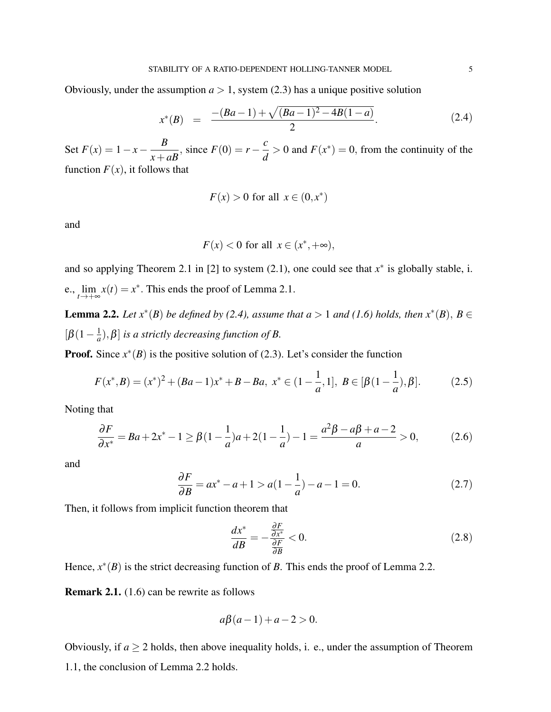Obviously, under the assumption  $a > 1$ , system (2.3) has a unique positive solution

$$
x^*(B) = \frac{-(Ba-1) + \sqrt{(Ba-1)^2 - 4B(1-a)}}{2}.
$$
 (2.4)

Set  $F(x) = 1 - x - \frac{B}{x}$  $\frac{B}{x+aB}$ , since  $F(0) = r - \frac{c}{d}$  $\frac{c}{d} > 0$  and  $F(x^*) = 0$ , from the continuity of the function  $F(x)$ , it follows that

$$
F(x) > 0 \text{ for all } x \in (0, x^*)
$$

and

$$
F(x) < 0 \text{ for all } x \in (x^*, +\infty),
$$

and so applying Theorem 2.1 in [2] to system  $(2.1)$ , one could see that  $x^*$  is globally stable, i. e.,  $\lim_{t \to +\infty} x(t) = x^*$ . This ends the proof of Lemma 2.1.

**Lemma 2.2.** *Let*  $x^*(B)$  *be defined by (2.4), assume that*  $a > 1$  *and* (1.6) *holds, then*  $x^*(B)$ ,  $B \in$  $\left[\beta(1-\frac{1}{a}\right]$  $\left[ \frac{1}{a} \right)$ ,  $\beta$ ] *is a strictly decreasing function of B*.

**Proof.** Since  $x^*(B)$  is the positive solution of (2.3). Let's consider the function

$$
F(x^*,B) = (x^*)^2 + (Ba-1)x^* + B - Ba, \ x^* \in (1 - \frac{1}{a}, 1], \ B \in [\beta(1 - \frac{1}{a}), \beta]. \tag{2.5}
$$

Noting that

$$
\frac{\partial F}{\partial x^*} = Ba + 2x^* - 1 \ge \beta(1 - \frac{1}{a})a + 2(1 - \frac{1}{a}) - 1 = \frac{a^2\beta - a\beta + a - 2}{a} > 0,
$$
 (2.6)

and

$$
\frac{\partial F}{\partial B} = ax^* - a + 1 > a(1 - \frac{1}{a}) - a - 1 = 0.
$$
 (2.7)

Then, it follows from implicit function theorem that

$$
\frac{dx^*}{dB} = -\frac{\frac{\partial F}{\partial x^*}}{\frac{\partial F}{\partial B}} < 0. \tag{2.8}
$$

Hence,  $x^*(B)$  is the strict decreasing function of *B*. This ends the proof of Lemma 2.2.

Remark 2.1. (1.6) can be rewrite as follows

$$
a\beta(a-1) + a - 2 > 0.
$$

Obviously, if  $a \ge 2$  holds, then above inequality holds, i. e., under the assumption of Theorem 1.1, the conclusion of Lemma 2.2 holds.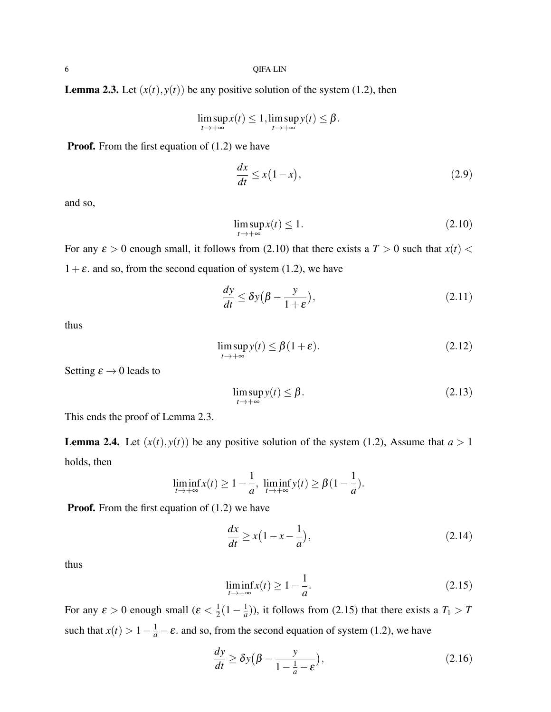**Lemma 2.3.** Let  $(x(t), y(t))$  be any positive solution of the system (1.2), then

$$
\limsup_{t\to+\infty} x(t)\leq 1,\limsup_{t\to+\infty} y(t)\leq \beta.
$$

**Proof.** From the first equation of (1.2) we have

$$
\frac{dx}{dt} \le x(1-x),\tag{2.9}
$$

and so,

$$
\limsup_{t \to +\infty} x(t) \le 1. \tag{2.10}
$$

For any  $\varepsilon > 0$  enough small, it follows from (2.10) that there exists a  $T > 0$  such that  $x(t) <$  $1+\varepsilon$ . and so, from the second equation of system (1.2), we have

$$
\frac{dy}{dt} \le \delta y \left(\beta - \frac{y}{1+\varepsilon}\right),\tag{2.11}
$$

thus

$$
\limsup_{t \to +\infty} y(t) \le \beta(1+\varepsilon). \tag{2.12}
$$

Setting  $\varepsilon \to 0$  leads to

$$
\limsup_{t \to +\infty} y(t) \le \beta. \tag{2.13}
$$

This ends the proof of Lemma 2.3.

**Lemma 2.4.** Let  $(x(t), y(t))$  be any positive solution of the system (1.2), Assume that  $a > 1$ holds, then

$$
\liminf_{t\to+\infty} x(t) \ge 1 - \frac{1}{a}, \ \liminf_{t\to+\infty} y(t) \ge \beta(1 - \frac{1}{a}).
$$

**Proof.** From the first equation of (1.2) we have

$$
\frac{dx}{dt} \ge x\left(1 - x - \frac{1}{a}\right),\tag{2.14}
$$

thus

$$
\liminf_{t \to +\infty} x(t) \ge 1 - \frac{1}{a}.\tag{2.15}
$$

For any  $\varepsilon > 0$  enough small  $(\varepsilon < \frac{1}{2})$  $rac{1}{2}(1-\frac{1}{a})$  $\frac{1}{a}$ )), it follows from (2.15) that there exists a  $T_1 > T$ such that  $x(t) > 1 - \frac{1}{a} - \varepsilon$ . and so, from the second equation of system (1.2), we have

$$
\frac{dy}{dt} \ge \delta y \left(\beta - \frac{y}{1 - \frac{1}{a} - \varepsilon}\right),\tag{2.16}
$$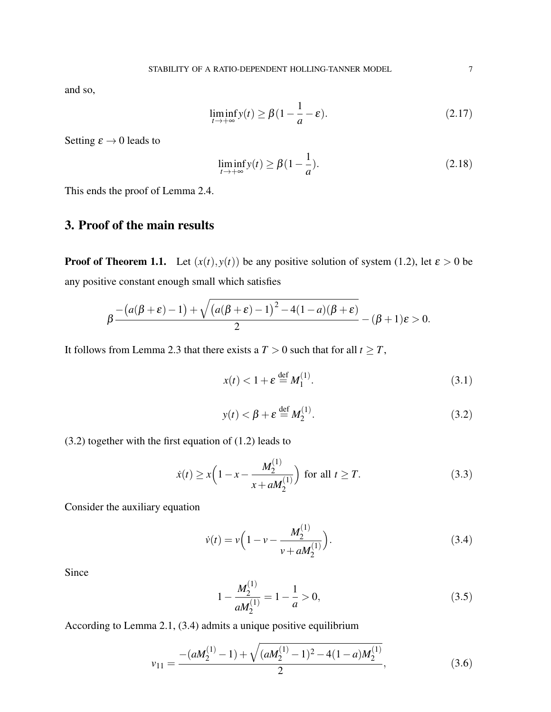and so,

$$
\liminf_{t \to +\infty} y(t) \ge \beta (1 - \frac{1}{a} - \varepsilon). \tag{2.17}
$$

Setting  $\varepsilon \to 0$  leads to

$$
\liminf_{t \to +\infty} y(t) \ge \beta(1 - \frac{1}{a}).\tag{2.18}
$$

This ends the proof of Lemma 2.4.

# 3. Proof of the main results

**Proof of Theorem 1.1.** Let  $(x(t), y(t))$  be any positive solution of system (1.2), let  $\varepsilon > 0$  be any positive constant enough small which satisfies

$$
\beta \frac{-(a(\beta+\varepsilon)-1)+\sqrt{(a(\beta+\varepsilon)-1)^2-4(1-a)(\beta+\varepsilon)}}{2}-(\beta+1)\varepsilon>0.
$$

It follows from Lemma 2.3 that there exists a  $T > 0$  such that for all  $t \geq T$ ,

$$
x(t) < 1 + \varepsilon \stackrel{\text{def}}{=} M_1^{(1)}.\tag{3.1}
$$

$$
y(t) < \beta + \varepsilon \stackrel{\text{def}}{=} M_2^{(1)}.\tag{3.2}
$$

(3.2) together with the first equation of (1.2) leads to

$$
\dot{x}(t) \ge x \left( 1 - x - \frac{M_2^{(1)}}{x + a M_2^{(1)}} \right) \text{ for all } t \ge T. \tag{3.3}
$$

Consider the auxiliary equation

$$
\dot{v}(t) = v \left( 1 - v - \frac{M_2^{(1)}}{v + a M_2^{(1)}} \right). \tag{3.4}
$$

Since

$$
1 - \frac{M_2^{(1)}}{aM_2^{(1)}} = 1 - \frac{1}{a} > 0,
$$
\n(3.5)

According to Lemma 2.1, (3.4) admits a unique positive equilibrium

$$
v_{11} = \frac{-(aM_2^{(1)} - 1) + \sqrt{(aM_2^{(1)} - 1)^2 - 4(1 - a)M_2^{(1)}}}{2},
$$
\n(3.6)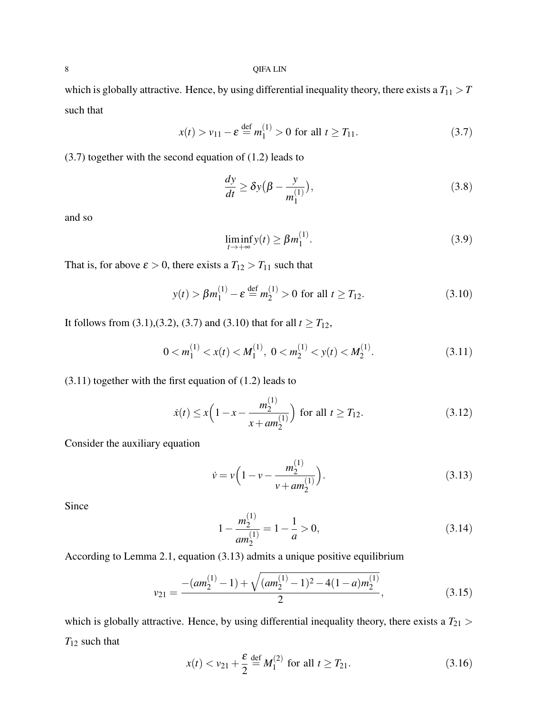which is globally attractive. Hence, by using differential inequality theory, there exists a  $T_{11} > T$ such that

$$
x(t) > v_{11} - \varepsilon \stackrel{\text{def}}{=} m_1^{(1)} > 0 \text{ for all } t \ge T_{11}.
$$
 (3.7)

(3.7) together with the second equation of (1.2) leads to

$$
\frac{dy}{dt} \ge \delta y \left(\beta - \frac{y}{m_1^{(1)}}\right),\tag{3.8}
$$

and so

$$
\liminf_{t \to +\infty} y(t) \ge \beta m_1^{(1)}.\tag{3.9}
$$

That is, for above  $\varepsilon > 0$ , there exists a  $T_{12} > T_{11}$  such that

$$
y(t) > \beta m_1^{(1)} - \varepsilon \stackrel{\text{def}}{=} m_2^{(1)} > 0 \text{ for all } t \ge T_{12}.
$$
 (3.10)

It follows from (3.1),(3.2), (3.7) and (3.10) that for all  $t \geq T_{12}$ ,

$$
0 < m_1^{(1)} < x(t) < M_1^{(1)}, \ 0 < m_2^{(1)} < y(t) < M_2^{(1)}.\tag{3.11}
$$

(3.11) together with the first equation of (1.2) leads to

$$
\dot{x}(t) \le x \left( 1 - x - \frac{m_2^{(1)}}{x + am_2^{(1)}} \right) \text{ for all } t \ge T_{12}.
$$
 (3.12)

Consider the auxiliary equation

$$
\dot{v} = v \left( 1 - v - \frac{m_2^{(1)}}{v + am_2^{(1)}} \right). \tag{3.13}
$$

Since

$$
1 - \frac{m_2^{(1)}}{am_2^{(1)}} = 1 - \frac{1}{a} > 0,
$$
\n(3.14)

According to Lemma 2.1, equation (3.13) admits a unique positive equilibrium

$$
v_{21} = \frac{-(am_2^{(1)} - 1) + \sqrt{(am_2^{(1)} - 1)^2 - 4(1 - a)m_2^{(1)}}}{2},
$$
\n(3.15)

which is globally attractive. Hence, by using differential inequality theory, there exists a  $T_{21}$  > *T*<sup>12</sup> such that

$$
x(t) < v_{21} + \frac{\varepsilon}{2} \stackrel{\text{def}}{=} M_1^{(2)} \text{ for all } t \ge T_{21}.\tag{3.16}
$$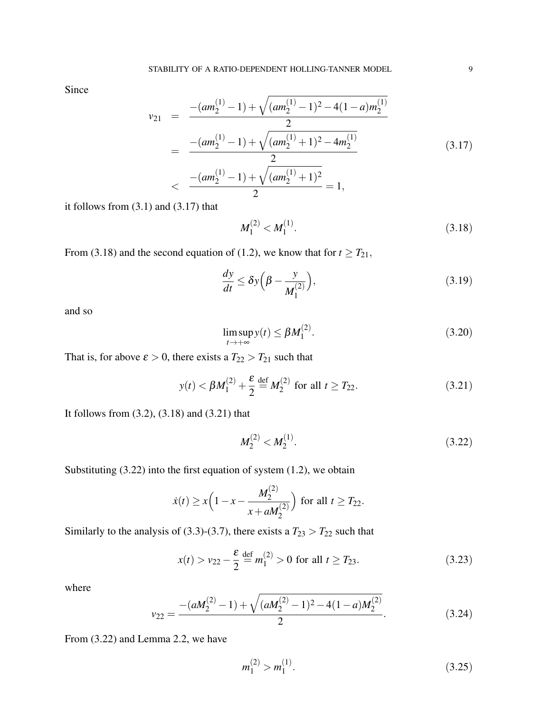Since

$$
v_{21} = \frac{-(am_2^{(1)} - 1) + \sqrt{(am_2^{(1)} - 1)^2 - 4(1 - a)m_2^{(1)}}}{2}
$$
  
= 
$$
\frac{-(am_2^{(1)} - 1) + \sqrt{(am_2^{(1)} + 1)^2 - 4m_2^{(1)}}}{2}
$$
  
< 
$$
\frac{-(am_2^{(1)} - 1) + \sqrt{(am_2^{(1)} + 1)^2}}{2} = 1,
$$
 (3.17)

it follows from  $(3.1)$  and  $(3.17)$  that

$$
M_1^{(2)} < M_1^{(1)}.\tag{3.18}
$$

From (3.18) and the second equation of (1.2), we know that for  $t \geq T_{21}$ ,

$$
\frac{dy}{dt} \le \delta y \left(\beta - \frac{y}{M_1^{(2)}}\right),\tag{3.19}
$$

and so

$$
\limsup_{t \to +\infty} y(t) \le \beta M_1^{(2)}.
$$
\n(3.20)

That is, for above  $\varepsilon > 0$ , there exists a  $T_{22} > T_{21}$  such that

$$
y(t) < \beta M_1^{(2)} + \frac{\varepsilon}{2} \stackrel{\text{def}}{=} M_2^{(2)}
$$
 for all  $t \ge T_{22}$ . (3.21)

It follows from (3.2), (3.18) and (3.21) that

$$
M_2^{(2)} < M_2^{(1)}.\tag{3.22}
$$

Substituting  $(3.22)$  into the first equation of system  $(1.2)$ , we obtain

$$
\dot{x}(t) \ge x \left(1 - x - \frac{M_2^{(2)}}{x + aM_2^{(2)}}\right)
$$
 for all  $t \ge T_{22}$ .

Similarly to the analysis of (3.3)-(3.7), there exists a  $T_{23} > T_{22}$  such that

$$
x(t) > v_{22} - \frac{\varepsilon}{2} \stackrel{\text{def}}{=} m_1^{(2)} > 0 \text{ for all } t \ge T_{23}.
$$
 (3.23)

where

$$
v_{22} = \frac{-(aM_2^{(2)} - 1) + \sqrt{(aM_2^{(2)} - 1)^2 - 4(1 - a)M_2^{(2)}}}{2}.
$$
\n(3.24)

From (3.22) and Lemma 2.2, we have

$$
m_1^{(2)} > m_1^{(1)}.\tag{3.25}
$$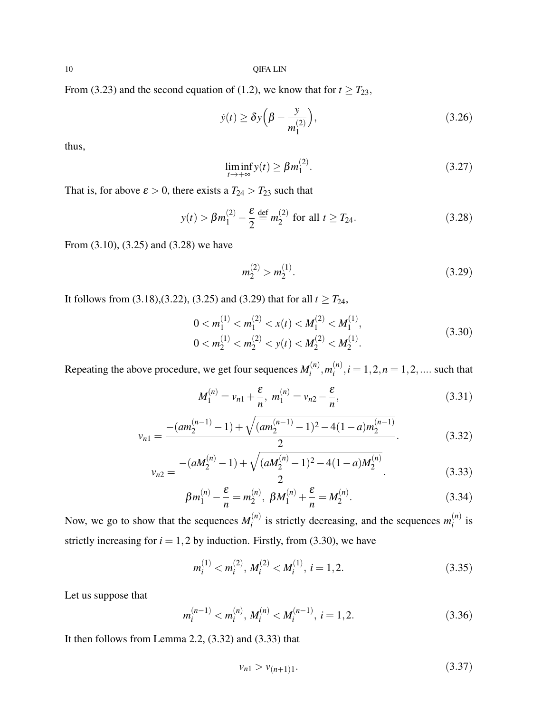From (3.23) and the second equation of (1.2), we know that for  $t \geq T_{23}$ ,

$$
\dot{y}(t) \ge \delta y \left(\beta - \frac{y}{m_1^{(2)}}\right),\tag{3.26}
$$

thus,

$$
\liminf_{t \to +\infty} y(t) \ge \beta m_1^{(2)}.\tag{3.27}
$$

That is, for above  $\varepsilon > 0$ , there exists a  $T_{24} > T_{23}$  such that

$$
y(t) > \beta m_1^{(2)} - \frac{\varepsilon}{2} \stackrel{\text{def}}{=} m_2^{(2)} \text{ for all } t \ge T_{24}.
$$
 (3.28)

From (3.10), (3.25) and (3.28) we have

$$
m_2^{(2)} > m_2^{(1)}.\tag{3.29}
$$

It follows from (3.18),(3.22), (3.25) and (3.29) that for all  $t \geq T_{24}$ ,

$$
0 < m_1^{(1)} < m_1^{(2)} < x(t) < M_1^{(2)} < M_1^{(1)},
$$
\n
$$
0 < m_2^{(1)} < m_2^{(2)} < y(t) < M_2^{(2)} < M_2^{(1)}.
$$
\n
$$
(3.30)
$$

Repeating the above procedure, we get four sequences  $M_i^{(n)}$  $\binom{n}{i}$ ,  $m_i^{(n)}$  $i^{(n)}$ ,  $i = 1, 2, n = 1, 2, \dots$  such that

$$
M_1^{(n)} = v_{n1} + \frac{\varepsilon}{n}, \ m_1^{(n)} = v_{n2} - \frac{\varepsilon}{n}, \tag{3.31}
$$

$$
v_{n1} = \frac{-(am_2^{(n-1)} - 1) + \sqrt{(am_2^{(n-1)} - 1)^2 - 4(1-a)m_2^{(n-1)}}}{2}.
$$
 (3.32)

$$
v_{n2} = \frac{-(aM_2^{(n)} - 1) + \sqrt{(aM_2^{(n)} - 1)^2 - 4(1 - a)M_2^{(n)}}}{2}.
$$
\n(3.33)

$$
\beta m_1^{(n)} - \frac{\varepsilon}{n} = m_2^{(n)}, \ \beta M_1^{(n)} + \frac{\varepsilon}{n} = M_2^{(n)}.
$$
 (3.34)

Now, we go to show that the sequences  $M_i^{(n)}$  $i$ <sup>(*n*)</sup> is strictly decreasing, and the sequences  $m_i^{(n)}$  $\int_{i}^{(n)}$  is strictly increasing for  $i = 1,2$  by induction. Firstly, from (3.30), we have

$$
m_i^{(1)} < m_i^{(2)}, \, M_i^{(2)} < M_i^{(1)}, \, i = 1, 2. \tag{3.35}
$$

Let us suppose that

$$
m_i^{(n-1)} < m_i^{(n)}, \, M_i^{(n)} < M_i^{(n-1)}, \, i = 1, 2. \tag{3.36}
$$

It then follows from Lemma 2.2,  $(3.32)$  and  $(3.33)$  that

$$
\nu_{n1} > \nu_{(n+1)1}.\tag{3.37}
$$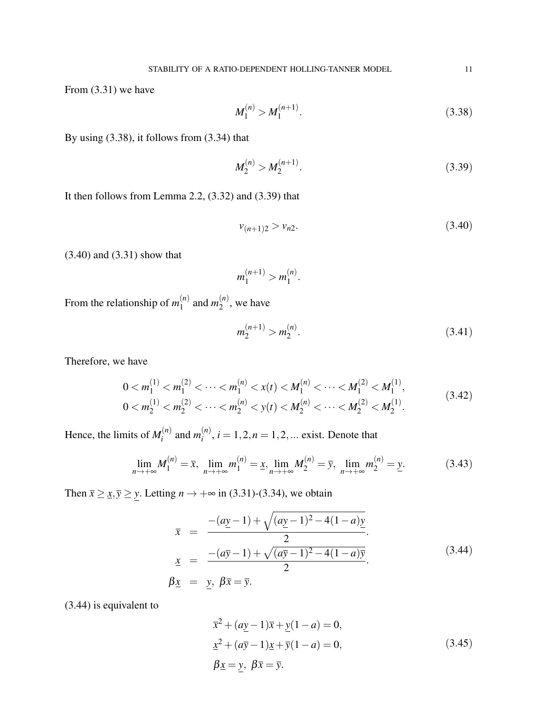From (3.31) we have

$$
M_1^{(n)} > M_1^{(n+1)}.\t\t(3.38)
$$

By using (3.38), it follows from (3.34) that

$$
M_2^{(n)} > M_2^{(n+1)}.\t\t(3.39)
$$

It then follows from Lemma 2.2,  $(3.32)$  and  $(3.39)$  that

$$
v_{(n+1)2} > v_{n2}.\tag{3.40}
$$

(3.40) and (3.31) show that

$$
m_1^{(n+1)} > m_1^{(n)}.
$$

From the relationship of  $m_1^{(n)}$  $\binom{n}{1}$  and  $m_2^{(n)}$  $\binom{n}{2}$ , we have

$$
m_2^{(n+1)} > m_2^{(n)}.\tag{3.41}
$$

Therefore, we have

$$
0 < m_1^{(1)} < m_1^{(2)} < \dots < m_1^{(n)} < x(t) < M_1^{(n)} < \dots < M_1^{(2)} < M_1^{(1)},
$$
\n
$$
0 < m_2^{(1)} < m_2^{(2)} < \dots < m_2^{(n)} < y(t) < M_2^{(n)} < \dots < M_2^{(2)} < M_2^{(1)}.\tag{3.42}
$$

Hence, the limits of  $M_i^{(n)}$  $\binom{n}{i}$  and  $m_i^{(n)}$  $i^{(n)}$ ,  $i = 1, 2, n = 1, 2, ...$  exist. Denote that

$$
\lim_{n \to +\infty} M_1^{(n)} = \overline{x}, \ \lim_{n \to +\infty} m_1^{(n)} = \underline{x}, \lim_{n \to +\infty} M_2^{(n)} = \overline{y}, \ \lim_{n \to +\infty} m_2^{(n)} = \underline{y}.
$$
 (3.43)

Then  $\bar{x} \geq \bar{x}, \bar{y} \geq \bar{y}$ . Letting  $n \to +\infty$  in (3.31)-(3.34), we obtain

$$
\bar{x} = \frac{-(a\underline{y}-1) + \sqrt{(a\underline{y}-1)^2 - 4(1-a)\underline{y}}}{2}.
$$
\n
$$
\underline{x} = \frac{-(a\overline{y}-1) + \sqrt{(a\overline{y}-1)^2 - 4(1-a)\overline{y}}}{2}.
$$
\n(3.44)\n
$$
\beta \underline{x} = \underline{y}, \ \beta \overline{x} = \overline{y}.
$$

(3.44) is equivalent to

$$
\overline{x}^{2} + (a\underline{y} - 1)\overline{x} + \underline{y}(1 - a) = 0,\n\underline{x}^{2} + (a\overline{y} - 1)\underline{x} + \overline{y}(1 - a) = 0,\n\beta \underline{x} = y, \ \beta \overline{x} = \overline{y}.
$$
\n(3.45)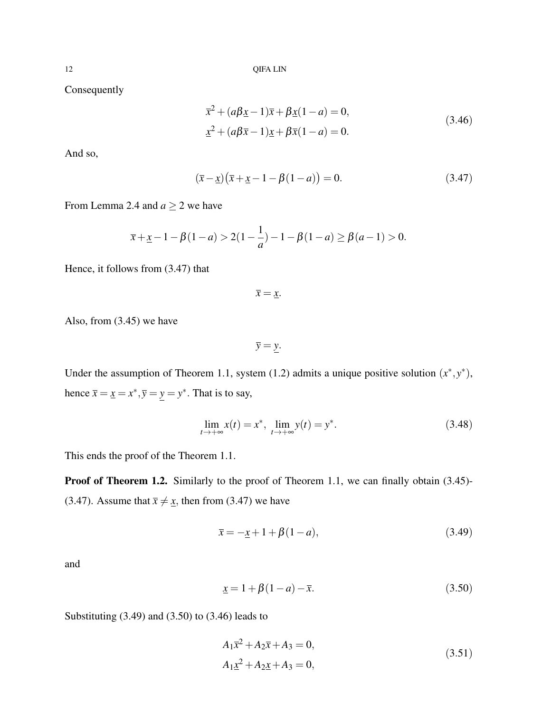Consequently

$$
\overline{x}^{2} + (a\beta \underline{x} - 1)\overline{x} + \beta \underline{x}(1 - a) = 0,\n\underline{x}^{2} + (a\beta \overline{x} - 1)\underline{x} + \beta \overline{x}(1 - a) = 0.
$$
\n(3.46)

And so,

$$
(\bar{x} - \underline{x})(\bar{x} + \underline{x} - 1 - \beta(1 - a)) = 0.
$$
 (3.47)

From Lemma 2.4 and  $a \ge 2$  we have

$$
\bar{x} + \underline{x} - 1 - \beta(1 - a) > 2(1 - \frac{1}{a}) - 1 - \beta(1 - a) \ge \beta(a - 1) > 0.
$$

Hence, it follows from (3.47) that

 $\bar{x} = \underline{x}$ .

Also, from (3.45) we have

 $\overline{y} = y$ .

Under the assumption of Theorem 1.1, system (1.2) admits a unique positive solution  $(x^*, y^*)$ , hence  $\bar{x} = \underline{x} = x^*, \bar{y} = y = y^*$ . That is to say,

$$
\lim_{t \to +\infty} x(t) = x^*, \ \lim_{t \to +\infty} y(t) = y^*.
$$
\n(3.48)

This ends the proof of the Theorem 1.1.

Proof of Theorem 1.2. Similarly to the proof of Theorem 1.1, we can finally obtain (3.45)-(3.47). Assume that  $\bar{x} \neq \underline{x}$ , then from (3.47) we have

$$
\bar{x} = -\underline{x} + 1 + \beta(1 - a),\tag{3.49}
$$

and

$$
\underline{x} = 1 + \beta(1 - a) - \overline{x}.\tag{3.50}
$$

Substituting (3.49) and (3.50) to (3.46) leads to

$$
A_1 \overline{x}^2 + A_2 \overline{x} + A_3 = 0,
$$
  
\n
$$
A_1 \underline{x}^2 + A_2 \underline{x} + A_3 = 0,
$$
\n(3.51)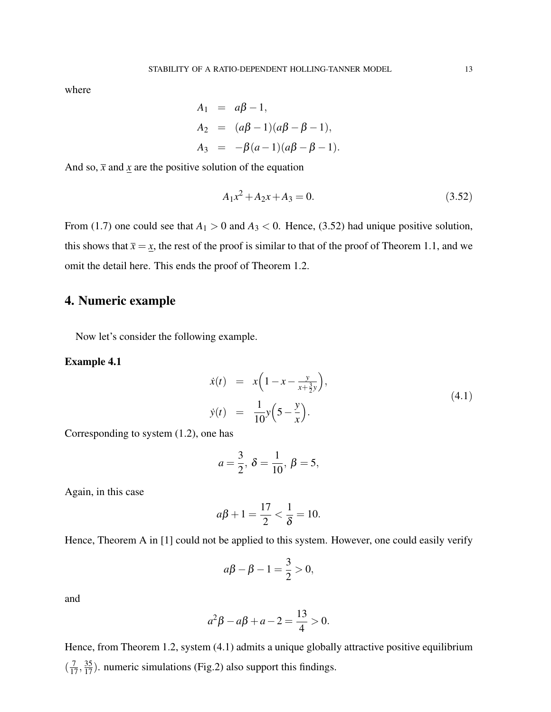where

$$
A_1 = a\beta - 1,
$$
  
\n
$$
A_2 = (a\beta - 1)(a\beta - \beta - 1),
$$
  
\n
$$
A_3 = -\beta(a - 1)(a\beta - \beta - 1).
$$

And so,  $\bar{x}$  and  $\bar{x}$  are the positive solution of the equation

$$
A_1 x^2 + A_2 x + A_3 = 0. \tag{3.52}
$$

From (1.7) one could see that  $A_1 > 0$  and  $A_3 < 0$ . Hence, (3.52) had unique positive solution, this shows that  $\bar{x} = x$ , the rest of the proof is similar to that of the proof of Theorem 1.1, and we omit the detail here. This ends the proof of Theorem 1.2.

# 4. Numeric example

Now let's consider the following example.

### Example 4.1

$$
\dot{x}(t) = x \left( 1 - x - \frac{y}{x + \frac{3}{2}y} \right), \n\dot{y}(t) = \frac{1}{10} y \left( 5 - \frac{y}{x} \right).
$$
\n(4.1)

Corresponding to system (1.2), one has

$$
a = \frac{3}{2}, \ \delta = \frac{1}{10}, \ \beta = 5,
$$

Again, in this case

$$
a\beta + 1 = \frac{17}{2} < \frac{1}{\delta} = 10.
$$

Hence, Theorem A in [1] could not be applied to this system. However, one could easily verify

$$
a\beta - \beta - 1 = \frac{3}{2} > 0,
$$

and

$$
a^2\beta - a\beta + a - 2 = \frac{13}{4} > 0.
$$

Hence, from Theorem 1.2, system (4.1) admits a unique globally attractive positive equilibrium  $\left(\frac{7}{17}, \frac{35}{17}\right)$ . numeric simulations (Fig.2) also support this findings.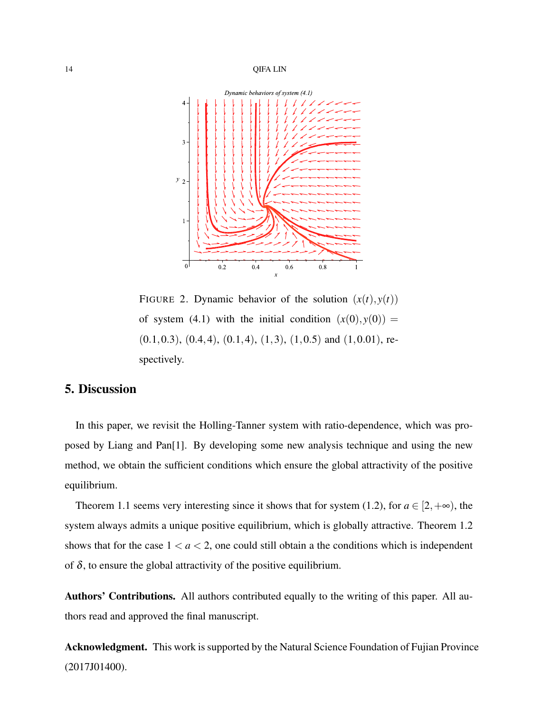

FIGURE 2. Dynamic behavior of the solution  $(x(t), y(t))$ of system (4.1) with the initial condition  $(x(0), y(0)) =$  $(0.1, 0.3), (0.4, 4), (0.1, 4), (1, 3), (1, 0.5)$  and  $(1, 0.01),$  respectively.

## 5. Discussion

In this paper, we revisit the Holling-Tanner system with ratio-dependence, which was proposed by Liang and Pan[1]. By developing some new analysis technique and using the new method, we obtain the sufficient conditions which ensure the global attractivity of the positive equilibrium.

Theorem 1.1 seems very interesting since it shows that for system (1.2), for  $a \in [2, +\infty)$ , the system always admits a unique positive equilibrium, which is globally attractive. Theorem 1.2 shows that for the case  $1 < a < 2$ , one could still obtain a the conditions which is independent of  $\delta$ , to ensure the global attractivity of the positive equilibrium.

Authors' Contributions. All authors contributed equally to the writing of this paper. All authors read and approved the final manuscript.

Acknowledgment. This work is supported by the Natural Science Foundation of Fujian Province (2017J01400).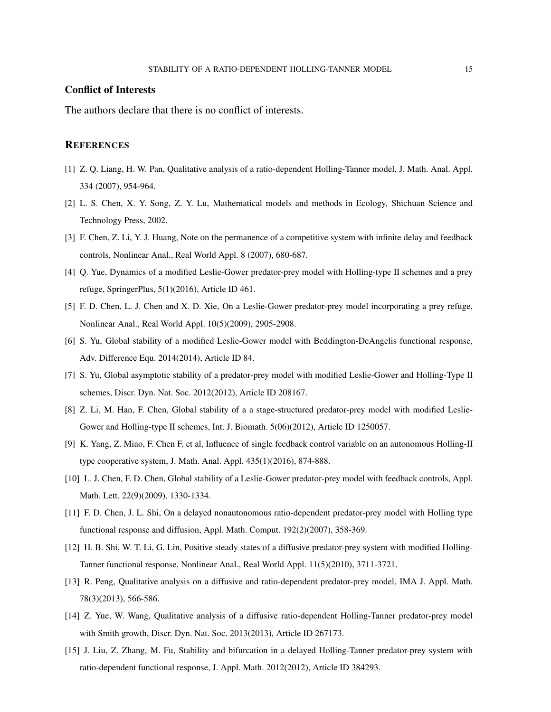### Conflict of Interests

The authors declare that there is no conflict of interests.

### **REFERENCES**

- [1] Z. Q. Liang, H. W. Pan, Qualitative analysis of a ratio-dependent Holling-Tanner model, J. Math. Anal. Appl. 334 (2007), 954-964.
- [2] L. S. Chen, X. Y. Song, Z. Y. Lu, Mathematical models and methods in Ecology, Shichuan Science and Technology Press, 2002.
- [3] F. Chen, Z. Li, Y. J. Huang, Note on the permanence of a competitive system with infinite delay and feedback controls, Nonlinear Anal., Real World Appl. 8 (2007), 680-687.
- [4] Q. Yue, Dynamics of a modified Leslie-Gower predator-prey model with Holling-type II schemes and a prey refuge, SpringerPlus, 5(1)(2016), Article ID 461.
- [5] F. D. Chen, L. J. Chen and X. D. Xie, On a Leslie-Gower predator-prey model incorporating a prey refuge, Nonlinear Anal., Real World Appl. 10(5)(2009), 2905-2908.
- [6] S. Yu, Global stability of a modified Leslie-Gower model with Beddington-DeAngelis functional response, Adv. Difference Equ. 2014(2014), Article ID 84.
- [7] S. Yu, Global asymptotic stability of a predator-prey model with modified Leslie-Gower and Holling-Type II schemes, Discr. Dyn. Nat. Soc. 2012(2012), Article ID 208167.
- [8] Z. Li, M. Han, F. Chen, Global stability of a a stage-structured predator-prey model with modified Leslie-Gower and Holling-type II schemes, Int. J. Biomath. 5(06)(2012), Article ID 1250057.
- [9] K. Yang, Z. Miao, F. Chen F, et al, Influence of single feedback control variable on an autonomous Holling-II type cooperative system, J. Math. Anal. Appl. 435(1)(2016), 874-888.
- [10] L. J. Chen, F. D. Chen, Global stability of a Leslie-Gower predator-prey model with feedback controls, Appl. Math. Lett. 22(9)(2009), 1330-1334.
- [11] F. D. Chen, J. L. Shi, On a delayed nonautonomous ratio-dependent predator-prey model with Holling type functional response and diffusion, Appl. Math. Comput. 192(2)(2007), 358-369.
- [12] H. B. Shi, W. T. Li, G. Lin, Positive steady states of a diffusive predator-prey system with modified Holling-Tanner functional response, Nonlinear Anal., Real World Appl. 11(5)(2010), 3711-3721.
- [13] R. Peng, Qualitative analysis on a diffusive and ratio-dependent predator-prey model, IMA J. Appl. Math. 78(3)(2013), 566-586.
- [14] Z. Yue, W. Wang, Qualitative analysis of a diffusive ratio-dependent Holling-Tanner predator-prey model with Smith growth, Discr. Dyn. Nat. Soc. 2013(2013), Article ID 267173.
- [15] J. Liu, Z. Zhang, M. Fu, Stability and bifurcation in a delayed Holling-Tanner predator-prey system with ratio-dependent functional response, J. Appl. Math. 2012(2012), Article ID 384293.